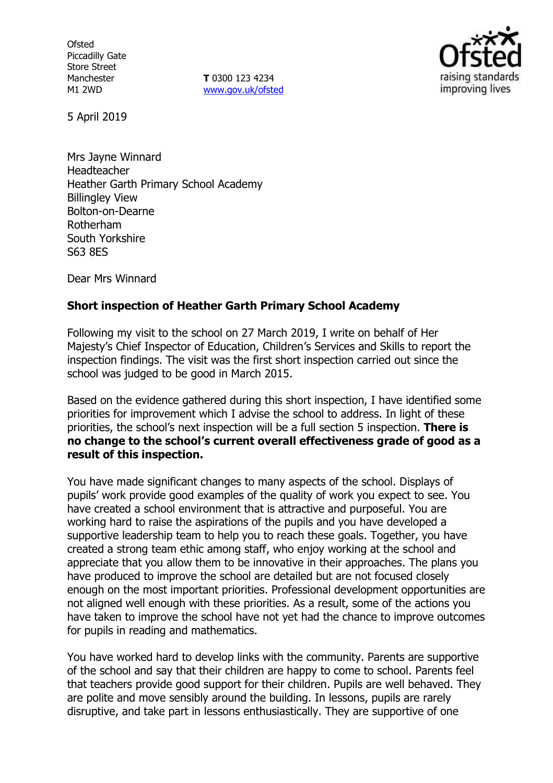**Ofsted** Piccadilly Gate Store Street Manchester M1 2WD

**T** 0300 123 4234 www.gov.uk/ofsted



5 April 2019

Mrs Jayne Winnard Headteacher Heather Garth Primary School Academy Billingley View Bolton-on-Dearne Rotherham South Yorkshire S63 8ES

Dear Mrs Winnard

# **Short inspection of Heather Garth Primary School Academy**

Following my visit to the school on 27 March 2019, I write on behalf of Her Majesty's Chief Inspector of Education, Children's Services and Skills to report the inspection findings. The visit was the first short inspection carried out since the school was judged to be good in March 2015.

Based on the evidence gathered during this short inspection, I have identified some priorities for improvement which I advise the school to address. In light of these priorities, the school's next inspection will be a full section 5 inspection. **There is no change to the school's current overall effectiveness grade of good as a result of this inspection.**

You have made significant changes to many aspects of the school. Displays of pupils' work provide good examples of the quality of work you expect to see. You have created a school environment that is attractive and purposeful. You are working hard to raise the aspirations of the pupils and you have developed a supportive leadership team to help you to reach these goals. Together, you have created a strong team ethic among staff, who enjoy working at the school and appreciate that you allow them to be innovative in their approaches. The plans you have produced to improve the school are detailed but are not focused closely enough on the most important priorities. Professional development opportunities are not aligned well enough with these priorities. As a result, some of the actions you have taken to improve the school have not yet had the chance to improve outcomes for pupils in reading and mathematics.

You have worked hard to develop links with the community. Parents are supportive of the school and say that their children are happy to come to school. Parents feel that teachers provide good support for their children. Pupils are well behaved. They are polite and move sensibly around the building. In lessons, pupils are rarely disruptive, and take part in lessons enthusiastically. They are supportive of one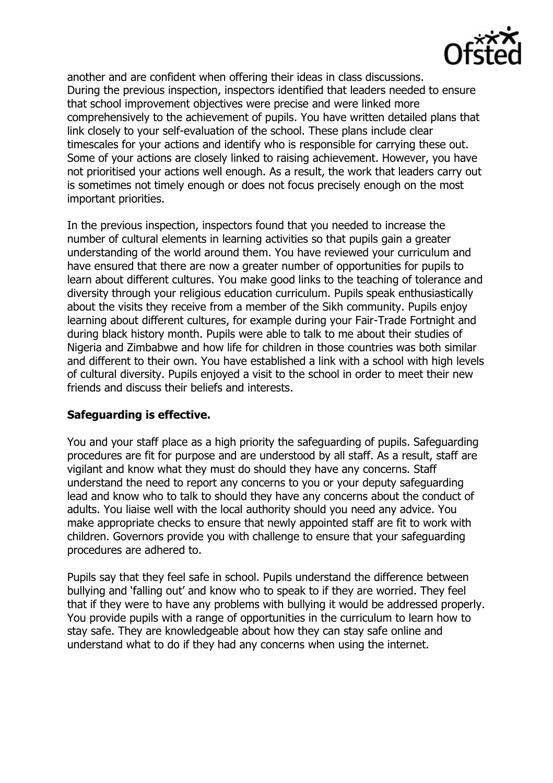

another and are confident when offering their ideas in class discussions. During the previous inspection, inspectors identified that leaders needed to ensure that school improvement objectives were precise and were linked more comprehensively to the achievement of pupils. You have written detailed plans that link closely to your self-evaluation of the school. These plans include clear timescales for your actions and identify who is responsible for carrying these out. Some of your actions are closely linked to raising achievement. However, you have not prioritised your actions well enough. As a result, the work that leaders carry out is sometimes not timely enough or does not focus precisely enough on the most important priorities.

In the previous inspection, inspectors found that you needed to increase the number of cultural elements in learning activities so that pupils gain a greater understanding of the world around them. You have reviewed your curriculum and have ensured that there are now a greater number of opportunities for pupils to learn about different cultures. You make good links to the teaching of tolerance and diversity through your religious education curriculum. Pupils speak enthusiastically about the visits they receive from a member of the Sikh community. Pupils enjoy learning about different cultures, for example during your Fair-Trade Fortnight and during black history month. Pupils were able to talk to me about their studies of Nigeria and Zimbabwe and how life for children in those countries was both similar and different to their own. You have established a link with a school with high levels of cultural diversity. Pupils enjoyed a visit to the school in order to meet their new friends and discuss their beliefs and interests.

### **Safeguarding is effective.**

You and your staff place as a high priority the safeguarding of pupils. Safeguarding procedures are fit for purpose and are understood by all staff. As a result, staff are vigilant and know what they must do should they have any concerns. Staff understand the need to report any concerns to you or your deputy safeguarding lead and know who to talk to should they have any concerns about the conduct of adults. You liaise well with the local authority should you need any advice. You make appropriate checks to ensure that newly appointed staff are fit to work with children. Governors provide you with challenge to ensure that your safeguarding procedures are adhered to.

Pupils say that they feel safe in school. Pupils understand the difference between bullying and 'falling out' and know who to speak to if they are worried. They feel that if they were to have any problems with bullying it would be addressed properly. You provide pupils with a range of opportunities in the curriculum to learn how to stay safe. They are knowledgeable about how they can stay safe online and understand what to do if they had any concerns when using the internet.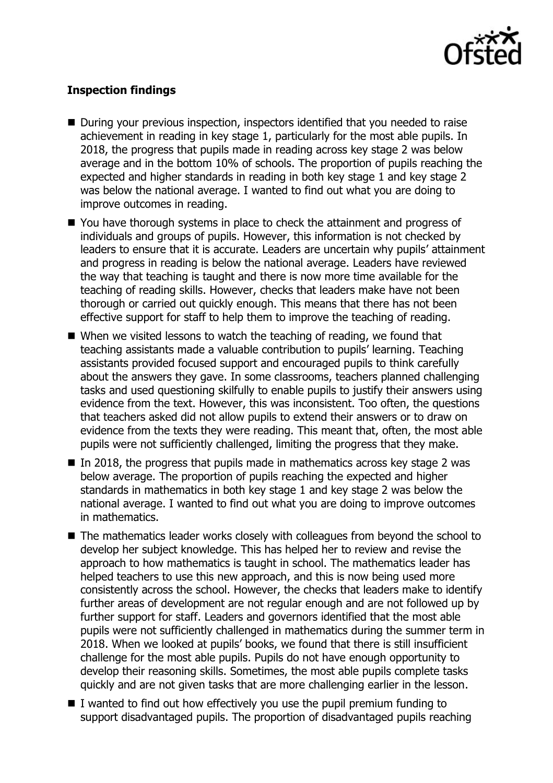

# **Inspection findings**

- During your previous inspection, inspectors identified that you needed to raise achievement in reading in key stage 1, particularly for the most able pupils. In 2018, the progress that pupils made in reading across key stage 2 was below average and in the bottom 10% of schools. The proportion of pupils reaching the expected and higher standards in reading in both key stage 1 and key stage 2 was below the national average. I wanted to find out what you are doing to improve outcomes in reading.
- You have thorough systems in place to check the attainment and progress of individuals and groups of pupils. However, this information is not checked by leaders to ensure that it is accurate. Leaders are uncertain why pupils' attainment and progress in reading is below the national average. Leaders have reviewed the way that teaching is taught and there is now more time available for the teaching of reading skills. However, checks that leaders make have not been thorough or carried out quickly enough. This means that there has not been effective support for staff to help them to improve the teaching of reading.
- When we visited lessons to watch the teaching of reading, we found that teaching assistants made a valuable contribution to pupils' learning. Teaching assistants provided focused support and encouraged pupils to think carefully about the answers they gave. In some classrooms, teachers planned challenging tasks and used questioning skilfully to enable pupils to justify their answers using evidence from the text. However, this was inconsistent. Too often, the questions that teachers asked did not allow pupils to extend their answers or to draw on evidence from the texts they were reading. This meant that, often, the most able pupils were not sufficiently challenged, limiting the progress that they make.
- In 2018, the progress that pupils made in mathematics across key stage 2 was below average. The proportion of pupils reaching the expected and higher standards in mathematics in both key stage 1 and key stage 2 was below the national average. I wanted to find out what you are doing to improve outcomes in mathematics.
- The mathematics leader works closely with colleagues from beyond the school to develop her subject knowledge. This has helped her to review and revise the approach to how mathematics is taught in school. The mathematics leader has helped teachers to use this new approach, and this is now being used more consistently across the school. However, the checks that leaders make to identify further areas of development are not regular enough and are not followed up by further support for staff. Leaders and governors identified that the most able pupils were not sufficiently challenged in mathematics during the summer term in 2018. When we looked at pupils' books, we found that there is still insufficient challenge for the most able pupils. Pupils do not have enough opportunity to develop their reasoning skills. Sometimes, the most able pupils complete tasks quickly and are not given tasks that are more challenging earlier in the lesson.
- $\blacksquare$  I wanted to find out how effectively you use the pupil premium funding to support disadvantaged pupils. The proportion of disadvantaged pupils reaching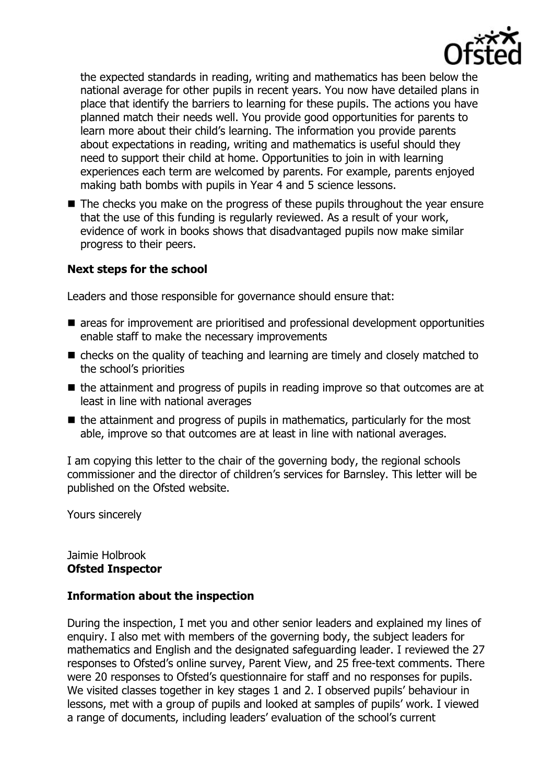

the expected standards in reading, writing and mathematics has been below the national average for other pupils in recent years. You now have detailed plans in place that identify the barriers to learning for these pupils. The actions you have planned match their needs well. You provide good opportunities for parents to learn more about their child's learning. The information you provide parents about expectations in reading, writing and mathematics is useful should they need to support their child at home. Opportunities to join in with learning experiences each term are welcomed by parents. For example, parents enjoyed making bath bombs with pupils in Year 4 and 5 science lessons.

 $\blacksquare$  The checks you make on the progress of these pupils throughout the year ensure that the use of this funding is regularly reviewed. As a result of your work, evidence of work in books shows that disadvantaged pupils now make similar progress to their peers.

# **Next steps for the school**

Leaders and those responsible for governance should ensure that:

- areas for improvement are prioritised and professional development opportunities enable staff to make the necessary improvements
- checks on the quality of teaching and learning are timely and closely matched to the school's priorities
- $\blacksquare$  the attainment and progress of pupils in reading improve so that outcomes are at least in line with national averages
- $\blacksquare$  the attainment and progress of pupils in mathematics, particularly for the most able, improve so that outcomes are at least in line with national averages.

I am copying this letter to the chair of the governing body, the regional schools commissioner and the director of children's services for Barnsley. This letter will be published on the Ofsted website.

Yours sincerely

#### Jaimie Holbrook **Ofsted Inspector**

### **Information about the inspection**

During the inspection, I met you and other senior leaders and explained my lines of enquiry. I also met with members of the governing body, the subject leaders for mathematics and English and the designated safeguarding leader. I reviewed the 27 responses to Ofsted's online survey, Parent View, and 25 free-text comments. There were 20 responses to Ofsted's questionnaire for staff and no responses for pupils. We visited classes together in key stages 1 and 2. I observed pupils' behaviour in lessons, met with a group of pupils and looked at samples of pupils' work. I viewed a range of documents, including leaders' evaluation of the school's current